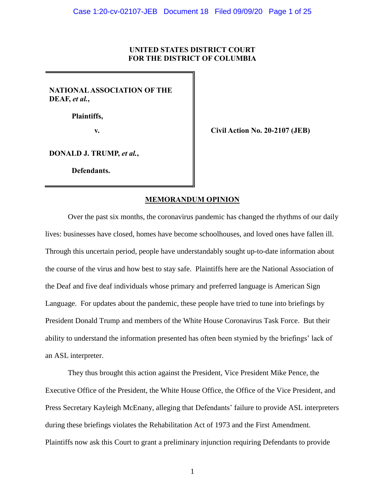## **UNITED STATES DISTRICT COURT FOR THE DISTRICT OF COLUMBIA**

**NATIONAL ASSOCIATION OF THE DEAF,** *et al.***,**

 **Plaintiffs,**

**v. Civil Action No. 20-2107 (JEB)**

**DONALD J. TRUMP,** *et al.***,**

**Defendants.**

## **MEMORANDUM OPINION**

Over the past six months, the coronavirus pandemic has changed the rhythms of our daily lives: businesses have closed, homes have become schoolhouses, and loved ones have fallen ill. Through this uncertain period, people have understandably sought up-to-date information about the course of the virus and how best to stay safe. Plaintiffs here are the National Association of the Deaf and five deaf individuals whose primary and preferred language is American Sign Language. For updates about the pandemic, these people have tried to tune into briefings by President Donald Trump and members of the White House Coronavirus Task Force. But their ability to understand the information presented has often been stymied by the briefings' lack of an ASL interpreter.

They thus brought this action against the President, Vice President Mike Pence, the Executive Office of the President, the White House Office, the Office of the Vice President, and Press Secretary Kayleigh McEnany, alleging that Defendants' failure to provide ASL interpreters during these briefings violates the Rehabilitation Act of 1973 and the First Amendment. Plaintiffs now ask this Court to grant a preliminary injunction requiring Defendants to provide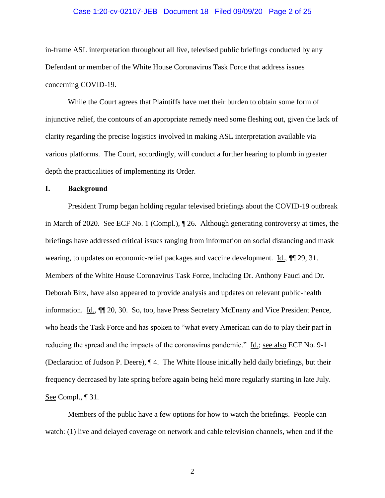### Case 1:20-cv-02107-JEB Document 18 Filed 09/09/20 Page 2 of 25

in-frame ASL interpretation throughout all live, televised public briefings conducted by any Defendant or member of the White House Coronavirus Task Force that address issues concerning COVID-19.

While the Court agrees that Plaintiffs have met their burden to obtain some form of injunctive relief, the contours of an appropriate remedy need some fleshing out, given the lack of clarity regarding the precise logistics involved in making ASL interpretation available via various platforms. The Court, accordingly, will conduct a further hearing to plumb in greater depth the practicalities of implementing its Order.

## **I. Background**

President Trump began holding regular televised briefings about the COVID-19 outbreak in March of 2020. See ECF No. 1 (Compl.), ¶ 26. Although generating controversy at times, the briefings have addressed critical issues ranging from information on social distancing and mask wearing, to updates on economic-relief packages and vaccine development. Id.,  $\P$  29, 31. Members of the White House Coronavirus Task Force, including Dr. Anthony Fauci and Dr. Deborah Birx, have also appeared to provide analysis and updates on relevant public-health information. Id.,  $\P$  20, 30. So, too, have Press Secretary McEnany and Vice President Pence, who heads the Task Force and has spoken to "what every American can do to play their part in reducing the spread and the impacts of the coronavirus pandemic." Id.; see also ECF No. 9-1 (Declaration of Judson P. Deere), ¶ 4. The White House initially held daily briefings, but their frequency decreased by late spring before again being held more regularly starting in late July. See Compl., ¶ 31.

Members of the public have a few options for how to watch the briefings. People can watch: (1) live and delayed coverage on network and cable television channels, when and if the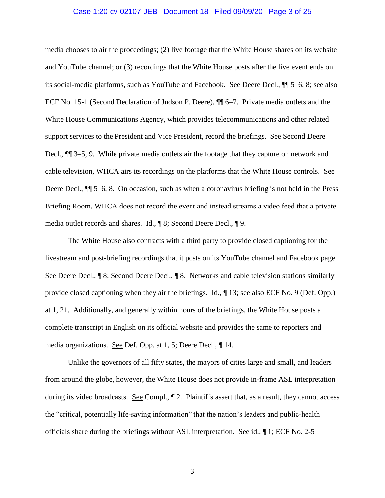### Case 1:20-cv-02107-JEB Document 18 Filed 09/09/20 Page 3 of 25

media chooses to air the proceedings; (2) live footage that the White House shares on its website and YouTube channel; or (3) recordings that the White House posts after the live event ends on its social-media platforms, such as YouTube and Facebook. See Deere Decl., ¶¶ 5–6, 8; see also ECF No. 15-1 (Second Declaration of Judson P. Deere), ¶¶ 6–7. Private media outlets and the White House Communications Agency, which provides telecommunications and other related support services to the President and Vice President, record the briefings. See Second Deere Decl., ¶¶ 3–5, 9. While private media outlets air the footage that they capture on network and cable television, WHCA airs its recordings on the platforms that the White House controls. See Deere Decl.,  $\P$  5–6, 8. On occasion, such as when a coronavirus briefing is not held in the Press Briefing Room, WHCA does not record the event and instead streams a video feed that a private media outlet records and shares. Id., ¶ 8; Second Deere Decl., ¶ 9.

The White House also contracts with a third party to provide closed captioning for the livestream and post-briefing recordings that it posts on its YouTube channel and Facebook page. See Deere Decl., ¶ 8; Second Deere Decl., ¶ 8. Networks and cable television stations similarly provide closed captioning when they air the briefings. Id., ¶ 13; see also ECF No. 9 (Def. Opp.) at 1, 21. Additionally, and generally within hours of the briefings, the White House posts a complete transcript in English on its official website and provides the same to reporters and media organizations. See Def. Opp. at 1, 5; Deere Decl., ¶ 14.

Unlike the governors of all fifty states, the mayors of cities large and small, and leaders from around the globe, however, the White House does not provide in-frame ASL interpretation during its video broadcasts. See Compl.,  $\mathbb{I}$  2. Plaintiffs assert that, as a result, they cannot access the "critical, potentially life-saving information" that the nation's leaders and public-health officials share during the briefings without ASL interpretation. See id., 1; ECF No. 2-5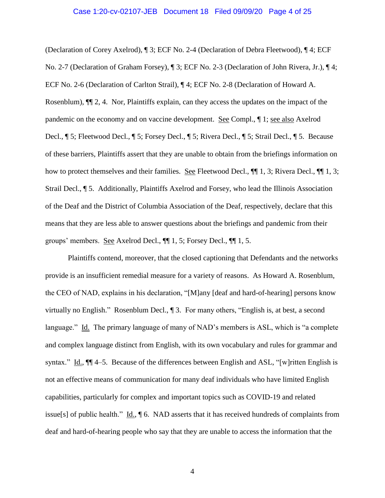#### Case 1:20-cv-02107-JEB Document 18 Filed 09/09/20 Page 4 of 25

(Declaration of Corey Axelrod), ¶ 3; ECF No. 2-4 (Declaration of Debra Fleetwood), ¶ 4; ECF No. 2-7 (Declaration of Graham Forsey), ¶ 3; ECF No. 2-3 (Declaration of John Rivera, Jr.), ¶ 4; ECF No. 2-6 (Declaration of Carlton Strail), ¶ 4; ECF No. 2-8 (Declaration of Howard A. Rosenblum), ¶¶ 2, 4. Nor, Plaintiffs explain, can they access the updates on the impact of the pandemic on the economy and on vaccine development. See Compl., ¶ 1; see also Axelrod Decl., ¶ 5; Fleetwood Decl., ¶ 5; Forsey Decl., ¶ 5; Rivera Decl., ¶ 5; Strail Decl., ¶ 5. Because of these barriers, Plaintiffs assert that they are unable to obtain from the briefings information on how to protect themselves and their families. See Fleetwood Decl.,  $\P\P$  1, 3; Rivera Decl.,  $\P\P$  1, 3; Strail Decl., ¶ 5. Additionally, Plaintiffs Axelrod and Forsey, who lead the Illinois Association of the Deaf and the District of Columbia Association of the Deaf, respectively, declare that this means that they are less able to answer questions about the briefings and pandemic from their groups' members. See Axelrod Decl., ¶¶ 1, 5; Forsey Decl., ¶¶ 1, 5.

Plaintiffs contend, moreover, that the closed captioning that Defendants and the networks provide is an insufficient remedial measure for a variety of reasons. As Howard A. Rosenblum, the CEO of NAD, explains in his declaration, "[M]any [deaf and hard-of-hearing] persons know virtually no English." Rosenblum Decl., ¶ 3. For many others, "English is, at best, a second language." Id. The primary language of many of NAD's members is ASL, which is "a complete and complex language distinct from English, with its own vocabulary and rules for grammar and syntax." Id.,  $\P$  4–5. Because of the differences between English and ASL, "[w] ritten English is not an effective means of communication for many deaf individuals who have limited English capabilities, particularly for complex and important topics such as COVID-19 and related issue[s] of public health."  $\underline{Id}$ ,  $\P$  6. NAD asserts that it has received hundreds of complaints from deaf and hard-of-hearing people who say that they are unable to access the information that the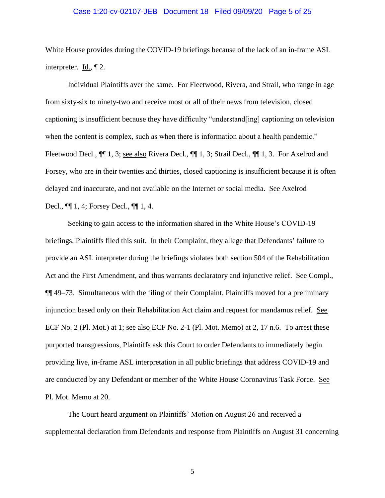#### Case 1:20-cv-02107-JEB Document 18 Filed 09/09/20 Page 5 of 25

White House provides during the COVID-19 briefings because of the lack of an in-frame ASL interpreter.  $\underline{Id.}$ ,  $\P$  2.

Individual Plaintiffs aver the same. For Fleetwood, Rivera, and Strail, who range in age from sixty-six to ninety-two and receive most or all of their news from television, closed captioning is insufficient because they have difficulty "understand[ing] captioning on television when the content is complex, such as when there is information about a health pandemic." Fleetwood Decl.,  $\P\P$  1, 3; <u>see also</u> Rivera Decl.,  $\P\P$  1, 3; Strail Decl.,  $\P\P$  1, 3. For Axelrod and Forsey, who are in their twenties and thirties, closed captioning is insufficient because it is often delayed and inaccurate, and not available on the Internet or social media. See Axelrod Decl., ¶¶ 1, 4; Forsey Decl., ¶¶ 1, 4.

Seeking to gain access to the information shared in the White House's COVID-19 briefings, Plaintiffs filed this suit. In their Complaint, they allege that Defendants' failure to provide an ASL interpreter during the briefings violates both section 504 of the Rehabilitation Act and the First Amendment, and thus warrants declaratory and injunctive relief. See Compl., ¶¶ 49–73. Simultaneous with the filing of their Complaint, Plaintiffs moved for a preliminary injunction based only on their Rehabilitation Act claim and request for mandamus relief. See ECF No. 2 (Pl. Mot.) at 1; see also ECF No. 2-1 (Pl. Mot. Memo) at 2, 17 n.6. To arrest these purported transgressions, Plaintiffs ask this Court to order Defendants to immediately begin providing live, in-frame ASL interpretation in all public briefings that address COVID-19 and are conducted by any Defendant or member of the White House Coronavirus Task Force. See Pl. Mot. Memo at 20.

The Court heard argument on Plaintiffs' Motion on August 26 and received a supplemental declaration from Defendants and response from Plaintiffs on August 31 concerning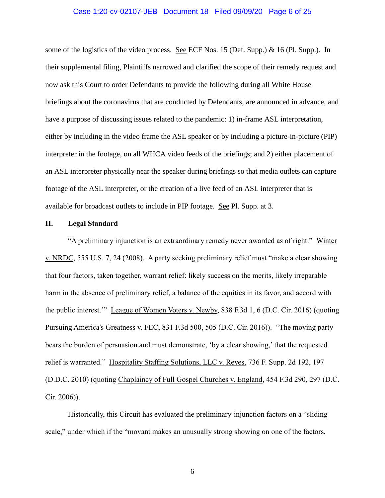#### Case 1:20-cv-02107-JEB Document 18 Filed 09/09/20 Page 6 of 25

some of the logistics of the video process. See ECF Nos. 15 (Def. Supp.) & 16 (Pl. Supp.). In their supplemental filing, Plaintiffs narrowed and clarified the scope of their remedy request and now ask this Court to order Defendants to provide the following during all White House briefings about the coronavirus that are conducted by Defendants, are announced in advance, and have a purpose of discussing issues related to the pandemic: 1) in-frame ASL interpretation, either by including in the video frame the ASL speaker or by including a picture-in-picture (PIP) interpreter in the footage, on all WHCA video feeds of the briefings; and 2) either placement of an ASL interpreter physically near the speaker during briefings so that media outlets can capture footage of the ASL interpreter, or the creation of a live feed of an ASL interpreter that is available for broadcast outlets to include in PIP footage. See Pl. Supp. at 3.

#### **II. Legal Standard**

"A preliminary injunction is an extraordinary remedy never awarded as of right." Winter v. NRDC, 555 U.S. 7, 24 (2008). A party seeking preliminary relief must "make a clear showing that four factors, taken together, warrant relief: likely success on the merits, likely irreparable harm in the absence of preliminary relief, a balance of the equities in its favor, and accord with the public interest.'" League of Women Voters v. Newby, 838 F.3d 1, 6 (D.C. Cir. 2016) (quoting Pursuing America's Greatness v. FEC, 831 F.3d 500, 505 (D.C. Cir. 2016)). "The moving party bears the burden of persuasion and must demonstrate, 'by a clear showing,' that the requested relief is warranted." Hospitality Staffing Solutions, LLC v. Reyes, 736 F. Supp. 2d 192, 197 (D.D.C. 2010) (quoting Chaplaincy of Full Gospel Churches v. England, 454 F.3d 290, 297 (D.C. Cir. 2006)).

Historically, this Circuit has evaluated the preliminary-injunction factors on a "sliding scale," under which if the "movant makes an unusually strong showing on one of the factors,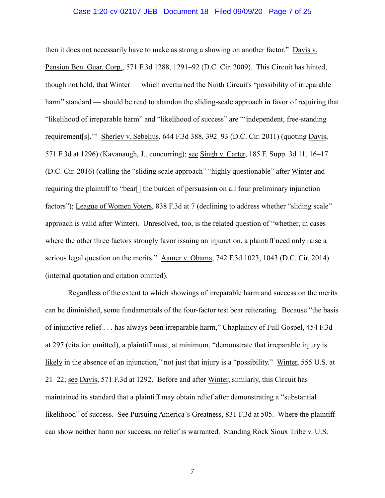### Case 1:20-cv-02107-JEB Document 18 Filed 09/09/20 Page 7 of 25

then it does not necessarily have to make as strong a showing on another factor." Davis v. Pension Ben. Guar. Corp., 571 F.3d 1288, 1291–92 (D.C. Cir. 2009). This Circuit has hinted, though not held, that Winter — which overturned the Ninth Circuit's "possibility of irreparable harm" standard — should be read to abandon the sliding-scale approach in favor of requiring that "likelihood of irreparable harm" and "likelihood of success" are "'independent, free-standing requirement[s]." Sherley v. Sebelius, 644 F.3d 388, 392-93 (D.C. Cir. 2011) (quoting Davis, 571 F.3d at 1296) (Kavanaugh, J., concurring); see Singh v. Carter, 185 F. Supp. 3d 11, 16–17 (D.C. Cir. 2016) (calling the "sliding scale approach" "highly questionable" after Winter and requiring the plaintiff to "bear[] the burden of persuasion on all four preliminary injunction factors"); League of Women Voters, 838 F.3d at 7 (declining to address whether "sliding scale" approach is valid after Winter). Unresolved, too, is the related question of "whether, in cases where the other three factors strongly favor issuing an injunction, a plaintiff need only raise a serious legal question on the merits." Aamer v. Obama, 742 F.3d 1023, 1043 (D.C. Cir. 2014) (internal quotation and citation omitted).

Regardless of the extent to which showings of irreparable harm and success on the merits can be diminished, some fundamentals of the four-factor test bear reiterating. Because "the basis of injunctive relief . . . has always been irreparable harm," Chaplaincy of Full Gospel, 454 F.3d at 297 (citation omitted), a plaintiff must, at minimum, "demonstrate that irreparable injury is likely in the absence of an injunction," not just that injury is a "possibility." Winter, 555 U.S. at 21–22; see Davis, 571 F.3d at 1292. Before and after Winter, similarly, this Circuit has maintained its standard that a plaintiff may obtain relief after demonstrating a "substantial likelihood" of success. See Pursuing America's Greatness, 831 F.3d at 505. Where the plaintiff can show neither harm nor success, no relief is warranted. Standing Rock Sioux Tribe v. U.S.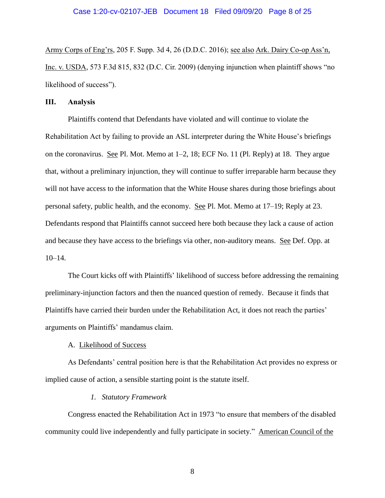Army Corps of Eng'rs, 205 F. Supp. 3d 4, 26 (D.D.C. 2016); see also Ark. Dairy Co-op Ass'n, Inc. v. USDA, 573 F.3d 815, 832 (D.C. Cir. 2009) (denying injunction when plaintiff shows "no likelihood of success").

### **III. Analysis**

Plaintiffs contend that Defendants have violated and will continue to violate the Rehabilitation Act by failing to provide an ASL interpreter during the White House's briefings on the coronavirus. See Pl. Mot. Memo at 1–2, 18; ECF No. 11 (Pl. Reply) at 18. They argue that, without a preliminary injunction, they will continue to suffer irreparable harm because they will not have access to the information that the White House shares during those briefings about personal safety, public health, and the economy. See Pl. Mot. Memo at 17–19; Reply at 23. Defendants respond that Plaintiffs cannot succeed here both because they lack a cause of action and because they have access to the briefings via other, non-auditory means. See Def. Opp. at 10–14.

The Court kicks off with Plaintiffs' likelihood of success before addressing the remaining preliminary-injunction factors and then the nuanced question of remedy. Because it finds that Plaintiffs have carried their burden under the Rehabilitation Act, it does not reach the parties' arguments on Plaintiffs' mandamus claim.

#### A. Likelihood of Success

As Defendants' central position here is that the Rehabilitation Act provides no express or implied cause of action, a sensible starting point is the statute itself.

#### *1. Statutory Framework*

Congress enacted the Rehabilitation Act in 1973 "to ensure that members of the disabled community could live independently and fully participate in society." American Council of the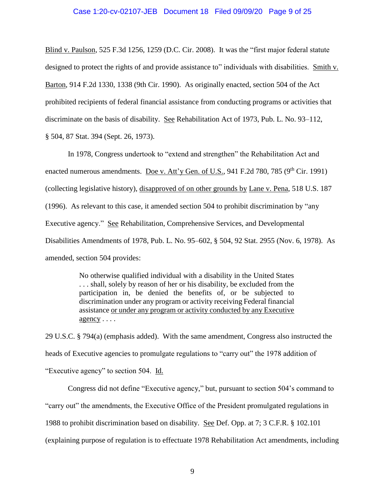#### Case 1:20-cv-02107-JEB Document 18 Filed 09/09/20 Page 9 of 25

Blind v. Paulson, 525 F.3d 1256, 1259 (D.C. Cir. 2008). It was the "first major federal statute designed to protect the rights of and provide assistance to" individuals with disabilities. Smith v. Barton, 914 F.2d 1330, 1338 (9th Cir. 1990). As originally enacted, section 504 of the Act prohibited recipients of federal financial assistance from conducting programs or activities that discriminate on the basis of disability. See Rehabilitation Act of 1973, Pub. L. No. 93–112, § 504, 87 Stat. 394 (Sept. 26, 1973).

In 1978, Congress undertook to "extend and strengthen" the Rehabilitation Act and enacted numerous amendments. Doe v. Att'y Gen. of U.S., 941 F.2d 780, 785 ( $9<sup>th</sup> Cir.$  1991) (collecting legislative history), disapproved of on other grounds by Lane v. Pena, 518 U.S. 187 (1996). As relevant to this case, it amended section 504 to prohibit discrimination by "any Executive agency." See Rehabilitation, Comprehensive Services, and Developmental Disabilities Amendments of 1978, Pub. L. No. 95–602, § 504, 92 Stat. 2955 (Nov. 6, 1978). As amended, section 504 provides:

> No otherwise qualified individual with a disability in the United States . . . shall, solely by reason of her or his disability, be excluded from the participation in, be denied the benefits of, or be subjected to discrimination under any program or activity receiving Federal financial assistance or under any program or activity conducted by any Executive agency . . . .

29 U.S.C. § 794(a) (emphasis added). With the same amendment, Congress also instructed the heads of Executive agencies to promulgate regulations to "carry out" the 1978 addition of "Executive agency" to section 504. Id.

Congress did not define "Executive agency," but, pursuant to section 504's command to "carry out" the amendments, the Executive Office of the President promulgated regulations in 1988 to prohibit discrimination based on disability. See Def. Opp. at 7; 3 C.F.R. § 102.101 (explaining purpose of regulation is to effectuate 1978 Rehabilitation Act amendments, including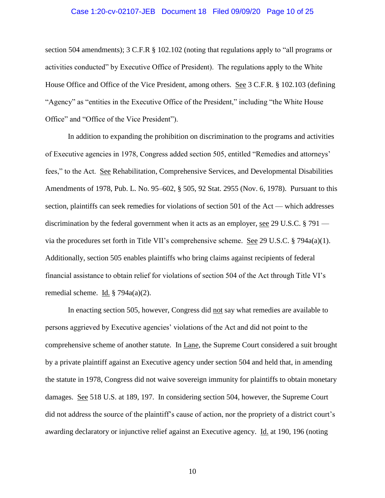#### Case 1:20-cv-02107-JEB Document 18 Filed 09/09/20 Page 10 of 25

section 504 amendments); 3 C.F.R § 102.102 (noting that regulations apply to "all programs or activities conducted" by Executive Office of President). The regulations apply to the White House Office and Office of the Vice President, among others. See 3 C.F.R. § 102.103 (defining "Agency" as "entities in the Executive Office of the President," including "the White House Office" and "Office of the Vice President").

In addition to expanding the prohibition on discrimination to the programs and activities of Executive agencies in 1978, Congress added section 505, entitled "Remedies and attorneys' fees," to the Act. See Rehabilitation, Comprehensive Services, and Developmental Disabilities Amendments of 1978, Pub. L. No. 95–602, § 505, 92 Stat. 2955 (Nov. 6, 1978). Pursuant to this section, plaintiffs can seek remedies for violations of section 501 of the Act — which addresses discrimination by the federal government when it acts as an employer, see 29 U.S.C. § 791 via the procedures set forth in Title VII's comprehensive scheme. See 29 U.S.C. § 794a(a)(1). Additionally, section 505 enables plaintiffs who bring claims against recipients of federal financial assistance to obtain relief for violations of section 504 of the Act through Title VI's remedial scheme. Id. § 794a(a)(2).

In enacting section 505, however, Congress did not say what remedies are available to persons aggrieved by Executive agencies' violations of the Act and did not point to the comprehensive scheme of another statute. In Lane, the Supreme Court considered a suit brought by a private plaintiff against an Executive agency under section 504 and held that, in amending the statute in 1978, Congress did not waive sovereign immunity for plaintiffs to obtain monetary damages. See 518 U.S. at 189, 197. In considering section 504, however, the Supreme Court did not address the source of the plaintiff's cause of action, nor the propriety of a district court's awarding declaratory or injunctive relief against an Executive agency. Id. at 190, 196 (noting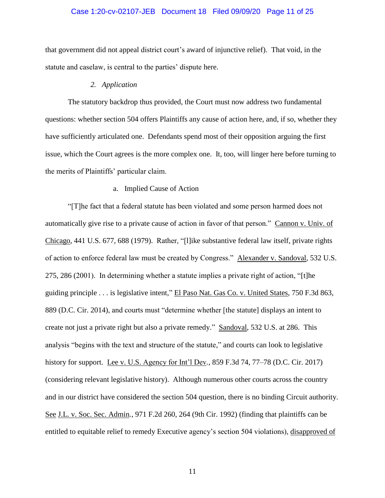## Case 1:20-cv-02107-JEB Document 18 Filed 09/09/20 Page 11 of 25

that government did not appeal district court's award of injunctive relief). That void, in the statute and caselaw, is central to the parties' dispute here.

#### *2. Application*

The statutory backdrop thus provided, the Court must now address two fundamental questions: whether section 504 offers Plaintiffs any cause of action here, and, if so, whether they have sufficiently articulated one. Defendants spend most of their opposition arguing the first issue, which the Court agrees is the more complex one. It, too, will linger here before turning to the merits of Plaintiffs' particular claim.

#### a. Implied Cause of Action

"[T]he fact that a federal statute has been violated and some person harmed does not automatically give rise to a private cause of action in favor of that person." Cannon v. Univ. of Chicago, 441 U.S. 677, 688 (1979). Rather, "[l]ike substantive federal law itself, private rights of action to enforce federal law must be created by Congress." Alexander v. Sandoval, 532 U.S. 275, 286 (2001). In determining whether a statute implies a private right of action, "[t]he guiding principle . . . is legislative intent," El Paso Nat. Gas Co. v. United States, 750 F.3d 863, 889 (D.C. Cir. 2014), and courts must "determine whether [the statute] displays an intent to create not just a private right but also a private remedy." Sandoval, 532 U.S. at 286. This analysis "begins with the text and structure of the statute," and courts can look to legislative history for support. Lee v. U.S. Agency for Int'l Dev*.*, 859 F.3d 74, 77–78 (D.C. Cir. 2017) (considering relevant legislative history). Although numerous other courts across the country and in our district have considered the section 504 question, there is no binding Circuit authority. See J.L. v. Soc. Sec. Admin*.*, 971 F.2d 260, 264 (9th Cir. 1992) (finding that plaintiffs can be entitled to equitable relief to remedy Executive agency's section 504 violations), disapproved of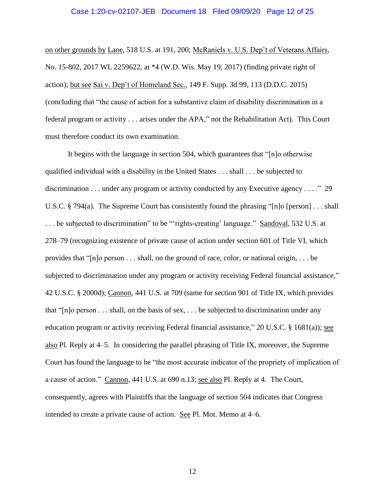#### Case 1:20-cv-02107-JEB Document 18 Filed 09/09/20 Page 12 of 25

on other grounds by Lane, 518 U.S. at 191, 200; McRaniels v. U.S. Dep't of Veterans Affairs, No. 15-802, 2017 WL 2259622, at \*4 (W.D. Wis. May 19, 2017) (finding private right of action); but see Sai v. Dep't of Homeland Sec., 149 F. Supp. 3d 99, 113 (D.D.C. 2015) (concluding that "the cause of action for a substantive claim of disability discrimination in a federal program or activity . . . arises under the APA," not the Rehabilitation Act). This Court must therefore conduct its own examination.

It begins with the language in section 504, which guarantees that "[n]o otherwise qualified individual with a disability in the United States . . . shall . . . be subjected to discrimination . . . under any program or activity conducted by any Executive agency . . . ." 29 U.S.C. § 794(a). The Supreme Court has consistently found the phrasing "[n]o [person] . . . shall ... be subjected to discrimination" to be "'rights-creating' language." Sandoval, 532 U.S. at 278–79 (recognizing existence of private cause of action under section 601 of Title VI, which provides that "[n]o person . . . shall, on the ground of race, color, or national origin, . . . be subjected to discrimination under any program or activity receiving Federal financial assistance," 42 U.S.C. § 2000d); Cannon, 441 U.S. at 709 (same for section 901 of Title IX, which provides that " $[n]$ o person . . . shall, on the basis of sex, . . . be subjected to discrimination under any education program or activity receiving Federal financial assistance," 20 U.S.C. § 1681(a)); see also Pl. Reply at 4–5. In considering the parallel phrasing of Title IX, moreover, the Supreme Court has found the language to be "the most accurate indicator of the propriety of implication of a cause of action." Cannon, 441 U.S. at 690 n.13; see also Pl. Reply at 4. The Court, consequently, agrees with Plaintiffs that the language of section 504 indicates that Congress intended to create a private cause of action. See Pl. Mot. Memo at 4–6.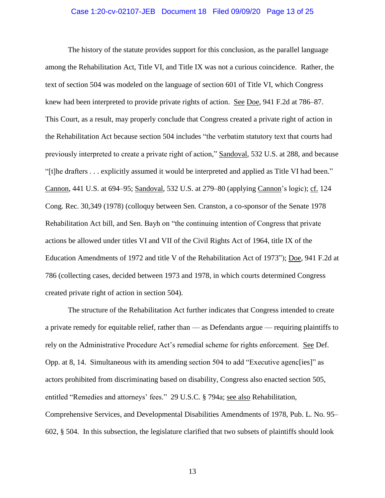### Case 1:20-cv-02107-JEB Document 18 Filed 09/09/20 Page 13 of 25

The history of the statute provides support for this conclusion, as the parallel language among the Rehabilitation Act, Title VI, and Title IX was not a curious coincidence. Rather, the text of section 504 was modeled on the language of section 601 of Title VI, which Congress knew had been interpreted to provide private rights of action. See Doe, 941 F.2d at 786–87. This Court, as a result, may properly conclude that Congress created a private right of action in the Rehabilitation Act because section 504 includes "the verbatim statutory text that courts had previously interpreted to create a private right of action," Sandoval, 532 U.S. at 288, and because "[t]he drafters . . . explicitly assumed it would be interpreted and applied as Title VI had been." Cannon, 441 U.S. at 694–95; Sandoval, 532 U.S. at 279–80 (applying Cannon's logic); cf. 124 Cong. Rec. 30,349 (1978) (colloquy between Sen. Cranston, a co-sponsor of the Senate 1978 Rehabilitation Act bill, and Sen. Bayh on "the continuing intention of Congress that private actions be allowed under titles VI and VII of the Civil Rights Act of 1964, title IX of the Education Amendments of 1972 and title V of the Rehabilitation Act of 1973"); Doe, 941 F.2d at 786 (collecting cases, decided between 1973 and 1978, in which courts determined Congress created private right of action in section 504).

The structure of the Rehabilitation Act further indicates that Congress intended to create a private remedy for equitable relief, rather than — as Defendants argue — requiring plaintiffs to rely on the Administrative Procedure Act's remedial scheme for rights enforcement. See Def. Opp. at 8, 14. Simultaneous with its amending section 504 to add "Executive agenc[ies]" as actors prohibited from discriminating based on disability, Congress also enacted section 505, entitled "Remedies and attorneys' fees." 29 U.S.C. § 794a; see also Rehabilitation, Comprehensive Services, and Developmental Disabilities Amendments of 1978, Pub. L. No. 95– 602, § 504. In this subsection, the legislature clarified that two subsets of plaintiffs should look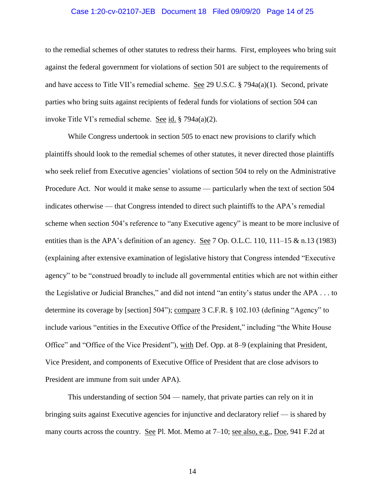### Case 1:20-cv-02107-JEB Document 18 Filed 09/09/20 Page 14 of 25

to the remedial schemes of other statutes to redress their harms. First, employees who bring suit against the federal government for violations of section 501 are subject to the requirements of and have access to Title VII's remedial scheme. See 29 U.S.C.  $\S$  794a(a)(1). Second, private parties who bring suits against recipients of federal funds for violations of section 504 can invoke Title VI's remedial scheme. See id. § 794a(a)(2).

While Congress undertook in section 505 to enact new provisions to clarify which plaintiffs should look to the remedial schemes of other statutes, it never directed those plaintiffs who seek relief from Executive agencies' violations of section 504 to rely on the Administrative Procedure Act. Nor would it make sense to assume — particularly when the text of section 504 indicates otherwise — that Congress intended to direct such plaintiffs to the APA's remedial scheme when section 504's reference to "any Executive agency" is meant to be more inclusive of entities than is the APA's definition of an agency. See 7 Op. O.L.C. 110, 111–15 & n.13 (1983) (explaining after extensive examination of legislative history that Congress intended "Executive agency" to be "construed broadly to include all governmental entities which are not within either the Legislative or Judicial Branches," and did not intend "an entity's status under the APA . . . to determine its coverage by [section] 504"); compare 3 C.F.R. § 102.103 (defining "Agency" to include various "entities in the Executive Office of the President," including "the White House Office" and "Office of the Vice President"), with Def. Opp. at 8–9 (explaining that President, Vice President, and components of Executive Office of President that are close advisors to President are immune from suit under APA).

This understanding of section 504 — namely, that private parties can rely on it in bringing suits against Executive agencies for injunctive and declaratory relief — is shared by many courts across the country. See Pl. Mot. Memo at 7–10; see also, e.g., Doe, 941 F.2d at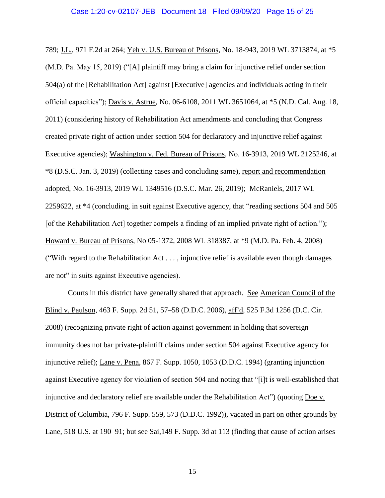789; J.L., 971 F.2d at 264; Yeh v. U.S. Bureau of Prisons, No. 18-943, 2019 WL 3713874, at \*5 (M.D. Pa. May 15, 2019) ("[A] plaintiff may bring a claim for injunctive relief under section 504(a) of the [Rehabilitation Act] against [Executive] agencies and individuals acting in their official capacities"); Davis v. Astrue, No. 06-6108, 2011 WL 3651064, at \*5 (N.D. Cal. Aug. 18, 2011) (considering history of Rehabilitation Act amendments and concluding that Congress created private right of action under section 504 for declaratory and injunctive relief against Executive agencies); Washington v. Fed. Bureau of Prisons, No. 16-3913, 2019 WL 2125246, at \*8 (D.S.C. Jan. 3, 2019) (collecting cases and concluding same), report and recommendation adopted, No. 16-3913, 2019 WL 1349516 (D.S.C. Mar. 26, 2019); McRaniels, 2017 WL 2259622, at \*4 (concluding, in suit against Executive agency, that "reading sections 504 and 505 [of the Rehabilitation Act] together compels a finding of an implied private right of action."); Howard v. Bureau of Prisons, No 05-1372, 2008 WL 318387, at \*9 (M.D. Pa. Feb. 4, 2008) ("With regard to the Rehabilitation Act . . . , injunctive relief is available even though damages are not" in suits against Executive agencies).

Courts in this district have generally shared that approach. See American Council of the Blind v. Paulson, 463 F. Supp. 2d 51, 57–58 (D.D.C. 2006), aff'd, 525 F.3d 1256 (D.C. Cir. 2008) (recognizing private right of action against government in holding that sovereign immunity does not bar private-plaintiff claims under section 504 against Executive agency for injunctive relief); Lane v. Pena, 867 F. Supp. 1050, 1053 (D.D.C. 1994) (granting injunction against Executive agency for violation of section 504 and noting that "[i]t is well-established that injunctive and declaratory relief are available under the Rehabilitation Act") (quoting Doe v. District of Columbia, 796 F. Supp. 559, 573 (D.D.C. 1992)), vacated in part on other grounds by Lane, 518 U.S. at 190–91; but see Sai, 149 F. Supp. 3d at 113 (finding that cause of action arises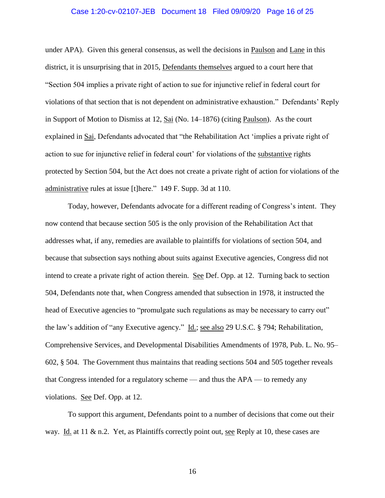### Case 1:20-cv-02107-JEB Document 18 Filed 09/09/20 Page 16 of 25

under APA). Given this general consensus, as well the decisions in Paulson and Lane in this district, it is unsurprising that in 2015, Defendants themselves argued to a court here that "Section 504 implies a private right of action to sue for injunctive relief in federal court for violations of that section that is not dependent on administrative exhaustion." Defendants' Reply in Support of Motion to Dismiss at 12, Sai (No. 14–1876) (citing Paulson). As the court explained in <u>Sai</u>, Defendants advocated that "the Rehabilitation Act 'implies a private right of action to sue for injunctive relief in federal court' for violations of the substantive rights protected by Section 504, but the Act does not create a private right of action for violations of the administrative rules at issue [t]here." 149 F. Supp. 3d at 110.

Today, however, Defendants advocate for a different reading of Congress's intent. They now contend that because section 505 is the only provision of the Rehabilitation Act that addresses what, if any, remedies are available to plaintiffs for violations of section 504, and because that subsection says nothing about suits against Executive agencies, Congress did not intend to create a private right of action therein. See Def. Opp. at 12. Turning back to section 504, Defendants note that, when Congress amended that subsection in 1978, it instructed the head of Executive agencies to "promulgate such regulations as may be necessary to carry out" the law's addition of "any Executive agency." Id.; see also 29 U.S.C. § 794; Rehabilitation, Comprehensive Services, and Developmental Disabilities Amendments of 1978, Pub. L. No. 95– 602, § 504. The Government thus maintains that reading sections 504 and 505 together reveals that Congress intended for a regulatory scheme — and thus the APA — to remedy any violations. See Def. Opp. at 12.

To support this argument, Defendants point to a number of decisions that come out their way. Id. at 11 & n.2. Yet, as Plaintiffs correctly point out, see Reply at 10, these cases are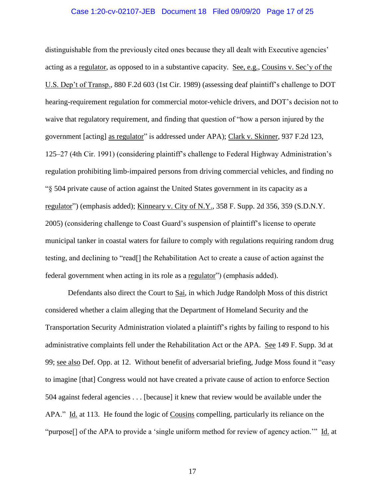### Case 1:20-cv-02107-JEB Document 18 Filed 09/09/20 Page 17 of 25

distinguishable from the previously cited ones because they all dealt with Executive agencies' acting as a regulator, as opposed to in a substantive capacity. See, e.g., Cousins v. Sec'y of the U.S. Dep't of Transp., 880 F.2d 603 (1st Cir. 1989) (assessing deaf plaintiff's challenge to DOT hearing-requirement regulation for commercial motor-vehicle drivers, and DOT's decision not to waive that regulatory requirement, and finding that question of "how a person injured by the government [acting] as regulator" is addressed under APA); Clark v. Skinner, 937 F.2d 123, 125–27 (4th Cir. 1991) (considering plaintiff's challenge to Federal Highway Administration's regulation prohibiting limb-impaired persons from driving commercial vehicles, and finding no "§ 504 private cause of action against the United States government in its capacity as a regulator") (emphasis added); Kinneary v. City of N.Y., 358 F. Supp. 2d 356, 359 (S.D.N.Y. 2005) (considering challenge to Coast Guard's suspension of plaintiff's license to operate municipal tanker in coastal waters for failure to comply with regulations requiring random drug testing, and declining to "read[] the Rehabilitation Act to create a cause of action against the federal government when acting in its role as a regulator") (emphasis added).

Defendants also direct the Court to Sai, in which Judge Randolph Moss of this district considered whether a claim alleging that the Department of Homeland Security and the Transportation Security Administration violated a plaintiff's rights by failing to respond to his administrative complaints fell under the Rehabilitation Act or the APA. See 149 F. Supp. 3d at 99; see also Def. Opp. at 12. Without benefit of adversarial briefing, Judge Moss found it "easy to imagine [that] Congress would not have created a private cause of action to enforce Section 504 against federal agencies . . . [because] it knew that review would be available under the APA." Id. at 113. He found the logic of Cousins compelling, particularly its reliance on the "purpose[] of the APA to provide a 'single uniform method for review of agency action.'" Id. at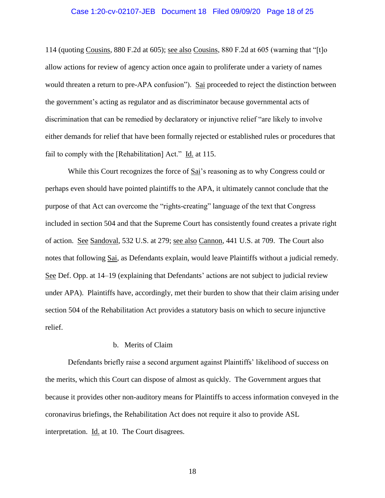#### Case 1:20-cv-02107-JEB Document 18 Filed 09/09/20 Page 18 of 25

114 (quoting Cousins, 880 F.2d at 605); see also Cousins, 880 F.2d at 605 (warning that "[t]o allow actions for review of agency action once again to proliferate under a variety of names would threaten a return to pre-APA confusion"). Sai proceeded to reject the distinction between the government's acting as regulator and as discriminator because governmental acts of discrimination that can be remedied by declaratory or injunctive relief "are likely to involve either demands for relief that have been formally rejected or established rules or procedures that fail to comply with the [Rehabilitation] Act." Id. at 115.

While this Court recognizes the force of Sai's reasoning as to why Congress could or perhaps even should have pointed plaintiffs to the APA, it ultimately cannot conclude that the purpose of that Act can overcome the "rights-creating" language of the text that Congress included in section 504 and that the Supreme Court has consistently found creates a private right of action. See Sandoval, 532 U.S. at 279; see also Cannon, 441 U.S. at 709. The Court also notes that following Sai, as Defendants explain, would leave Plaintiffs without a judicial remedy. See Def. Opp. at 14–19 (explaining that Defendants' actions are not subject to judicial review under APA). Plaintiffs have, accordingly, met their burden to show that their claim arising under section 504 of the Rehabilitation Act provides a statutory basis on which to secure injunctive relief.

# b. Merits of Claim

Defendants briefly raise a second argument against Plaintiffs' likelihood of success on the merits, which this Court can dispose of almost as quickly. The Government argues that because it provides other non-auditory means for Plaintiffs to access information conveyed in the coronavirus briefings, the Rehabilitation Act does not require it also to provide ASL interpretation. Id. at 10. The Court disagrees.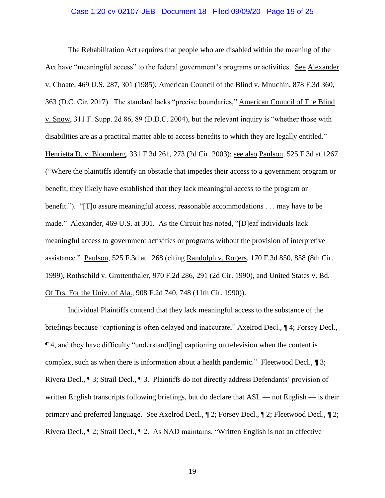### Case 1:20-cv-02107-JEB Document 18 Filed 09/09/20 Page 19 of 25

The Rehabilitation Act requires that people who are disabled within the meaning of the Act have "meaningful access" to the federal government's programs or activities. See Alexander v. Choate, 469 U.S. 287, 301 (1985); American Council of the Blind v. Mnuchin, 878 F.3d 360, 363 (D.C. Cir. 2017). The standard lacks "precise boundaries," American Council of The Blind v. Snow, 311 F. Supp. 2d 86, 89 (D.D.C. 2004), but the relevant inquiry is "whether those with disabilities are as a practical matter able to access benefits to which they are legally entitled." Henrietta D. v. Bloomberg, 331 F.3d 261, 273 (2d Cir. 2003); see also Paulson, 525 F.3d at 1267 ("Where the plaintiffs identify an obstacle that impedes their access to a government program or benefit, they likely have established that they lack meaningful access to the program or benefit."). "[T]o assure meaningful access, reasonable accommodations . . . may have to be made." Alexander, 469 U.S. at 301. As the Circuit has noted, "[D]eaf individuals lack meaningful access to government activities or programs without the provision of interpretive assistance." Paulson, 525 F.3d at 1268 (citing Randolph v. Rogers, 170 F.3d 850, 858 (8th Cir. 1999), Rothschild v. Grottenthaler, 970 F.2d 286, 291 (2d Cir. 1990), and United States v. Bd. Of Trs. For the Univ. of Ala., 908 F.2d 740, 748 (11th Cir. 1990)).

Individual Plaintiffs contend that they lack meaningful access to the substance of the briefings because "captioning is often delayed and inaccurate," Axelrod Decl., ¶ 4; Forsey Decl., ¶ 4, and they have difficulty "understand[ing] captioning on television when the content is complex, such as when there is information about a health pandemic." Fleetwood Decl., ¶ 3; Rivera Decl., ¶ 3; Strail Decl., ¶ 3. Plaintiffs do not directly address Defendants' provision of written English transcripts following briefings, but do declare that  $ASL$  — not English — is their primary and preferred language. <u>See</u> Axelrod Decl.,  $\mathbb{I}$  2; Forsey Decl.,  $\mathbb{I}$  2; Fleetwood Decl.,  $\mathbb{I}$  2; Rivera Decl., ¶ 2; Strail Decl., ¶ 2. As NAD maintains, "Written English is not an effective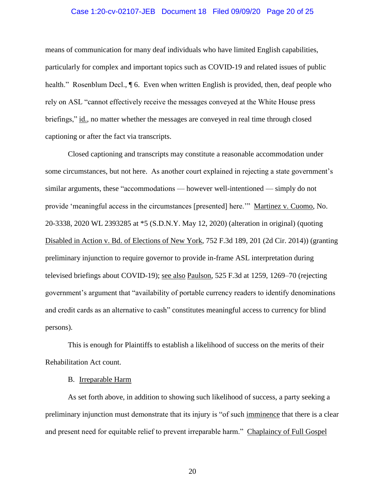### Case 1:20-cv-02107-JEB Document 18 Filed 09/09/20 Page 20 of 25

means of communication for many deaf individuals who have limited English capabilities, particularly for complex and important topics such as COVID-19 and related issues of public health." Rosenblum Decl., **[6.** Even when written English is provided, then, deaf people who rely on ASL "cannot effectively receive the messages conveyed at the White House press briefings," id., no matter whether the messages are conveyed in real time through closed captioning or after the fact via transcripts.

Closed captioning and transcripts may constitute a reasonable accommodation under some circumstances, but not here. As another court explained in rejecting a state government's similar arguments, these "accommodations — however well-intentioned — simply do not provide 'meaningful access in the circumstances [presented] here.'" Martinez v. Cuomo, No. 20-3338, 2020 WL 2393285 at \*5 (S.D.N.Y. May 12, 2020) (alteration in original) (quoting Disabled in Action v. Bd. of Elections of New York, 752 F.3d 189, 201 (2d Cir. 2014)) (granting preliminary injunction to require governor to provide in-frame ASL interpretation during televised briefings about COVID-19); see also Paulson, 525 F.3d at 1259, 1269–70 (rejecting government's argument that "availability of portable currency readers to identify denominations and credit cards as an alternative to cash" constitutes meaningful access to currency for blind persons).

This is enough for Plaintiffs to establish a likelihood of success on the merits of their Rehabilitation Act count.

#### B. Irreparable Harm

As set forth above, in addition to showing such likelihood of success, a party seeking a preliminary injunction must demonstrate that its injury is "of such imminence that there is a clear and present need for equitable relief to prevent irreparable harm." Chaplaincy of Full Gospel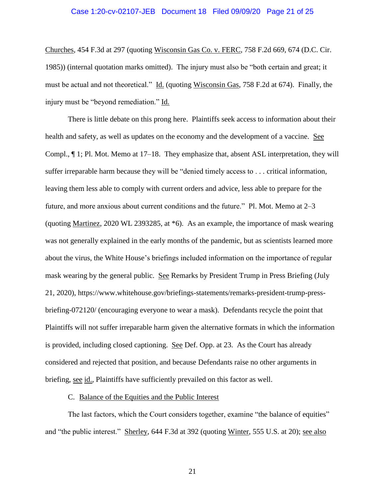#### Case 1:20-cv-02107-JEB Document 18 Filed 09/09/20 Page 21 of 25

Churches, 454 F.3d at 297 (quoting Wisconsin Gas Co. v. FERC, 758 F.2d 669, 674 (D.C. Cir. 1985)) (internal quotation marks omitted). The injury must also be "both certain and great; it must be actual and not theoretical." Id. (quoting Wisconsin Gas, 758 F.2d at 674). Finally, the injury must be "beyond remediation." Id.

There is little debate on this prong here. Plaintiffs seek access to information about their health and safety, as well as updates on the economy and the development of a vaccine. See Compl., ¶ 1; Pl. Mot. Memo at 17–18. They emphasize that, absent ASL interpretation, they will suffer irreparable harm because they will be "denied timely access to . . . critical information, leaving them less able to comply with current orders and advice, less able to prepare for the future, and more anxious about current conditions and the future." Pl. Mot. Memo at 2–3 (quoting Martinez, 2020 WL 2393285, at \*6). As an example, the importance of mask wearing was not generally explained in the early months of the pandemic, but as scientists learned more about the virus, the White House's briefings included information on the importance of regular mask wearing by the general public. See Remarks by President Trump in Press Briefing (July 21, 2020), https://www.whitehouse.gov/briefings-statements/remarks-president-trump-pressbriefing-072120/ (encouraging everyone to wear a mask). Defendants recycle the point that Plaintiffs will not suffer irreparable harm given the alternative formats in which the information is provided, including closed captioning. See Def. Opp. at 23. As the Court has already considered and rejected that position, and because Defendants raise no other arguments in briefing, see id., Plaintiffs have sufficiently prevailed on this factor as well.

#### C. Balance of the Equities and the Public Interest

The last factors, which the Court considers together, examine "the balance of equities" and "the public interest." Sherley, 644 F.3d at 392 (quoting Winter, 555 U.S. at 20); see also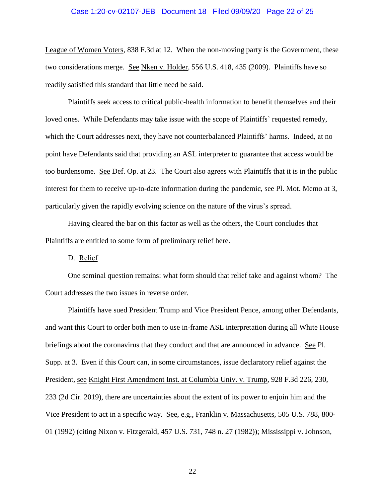#### Case 1:20-cv-02107-JEB Document 18 Filed 09/09/20 Page 22 of 25

League of Women Voters, 838 F.3d at 12. When the non-moving party is the Government, these two considerations merge. See Nken v. Holder, 556 U.S. 418, 435 (2009). Plaintiffs have so readily satisfied this standard that little need be said.

Plaintiffs seek access to critical public-health information to benefit themselves and their loved ones. While Defendants may take issue with the scope of Plaintiffs' requested remedy, which the Court addresses next, they have not counterbalanced Plaintiffs' harms. Indeed, at no point have Defendants said that providing an ASL interpreter to guarantee that access would be too burdensome. See Def. Op. at 23. The Court also agrees with Plaintiffs that it is in the public interest for them to receive up-to-date information during the pandemic, see Pl. Mot. Memo at 3, particularly given the rapidly evolving science on the nature of the virus's spread.

Having cleared the bar on this factor as well as the others, the Court concludes that Plaintiffs are entitled to some form of preliminary relief here.

D. Relief

One seminal question remains: what form should that relief take and against whom? The Court addresses the two issues in reverse order.

Plaintiffs have sued President Trump and Vice President Pence, among other Defendants, and want this Court to order both men to use in-frame ASL interpretation during all White House briefings about the coronavirus that they conduct and that are announced in advance. See Pl. Supp. at 3. Even if this Court can, in some circumstances, issue declaratory relief against the President, see Knight First Amendment Inst. at Columbia Univ. v. Trump, 928 F.3d 226, 230, 233 (2d Cir. 2019), there are uncertainties about the extent of its power to enjoin him and the Vice President to act in a specific way. See, e.g., Franklin v. Massachusetts*,* 505 U.S. 788, 800- 01 (1992) (citing Nixon v. Fitzgerald, 457 U.S. 731, 748 n. 27 (1982)); Mississippi v. Johnson,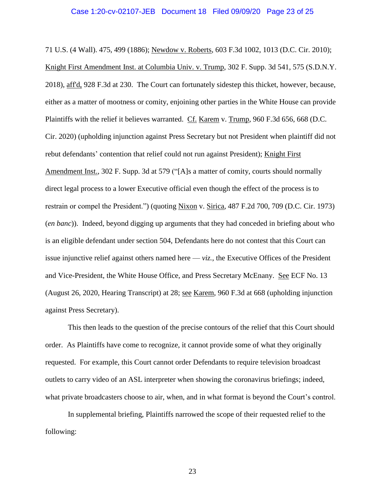#### Case 1:20-cv-02107-JEB Document 18 Filed 09/09/20 Page 23 of 25

71 U.S. (4 Wall). 475, 499 (1886); Newdow v. Roberts, 603 F.3d 1002, 1013 (D.C. Cir. 2010); Knight First Amendment Inst. at Columbia Univ. v. Trump, 302 F. Supp. 3d 541, 575 (S.D.N.Y. 2018), aff'd, 928 F.3d at 230. The Court can fortunately sidestep this thicket, however, because, either as a matter of mootness or comity, enjoining other parties in the White House can provide Plaintiffs with the relief it believes warranted. Cf. Karem v. Trump, 960 F.3d 656, 668 (D.C. Cir. 2020) (upholding injunction against Press Secretary but not President when plaintiff did not rebut defendants' contention that relief could not run against President); Knight First Amendment Inst., 302 F. Supp. 3d at 579 ("[A]s a matter of comity, courts should normally direct legal process to a lower Executive official even though the effect of the process is to restrain or compel the President.") (quoting Nixon v. Sirica, 487 F.2d 700, 709 (D.C. Cir. 1973) (*en banc*)). Indeed, beyond digging up arguments that they had conceded in briefing about who is an eligible defendant under section 504, Defendants here do not contest that this Court can issue injunctive relief against others named here — *viz.*, the Executive Offices of the President and Vice-President, the White House Office, and Press Secretary McEnany. See ECF No. 13 (August 26, 2020, Hearing Transcript) at 28; see Karem, 960 F.3d at 668 (upholding injunction against Press Secretary).

This then leads to the question of the precise contours of the relief that this Court should order. As Plaintiffs have come to recognize, it cannot provide some of what they originally requested. For example, this Court cannot order Defendants to require television broadcast outlets to carry video of an ASL interpreter when showing the coronavirus briefings; indeed, what private broadcasters choose to air, when, and in what format is beyond the Court's control.

In supplemental briefing, Plaintiffs narrowed the scope of their requested relief to the following: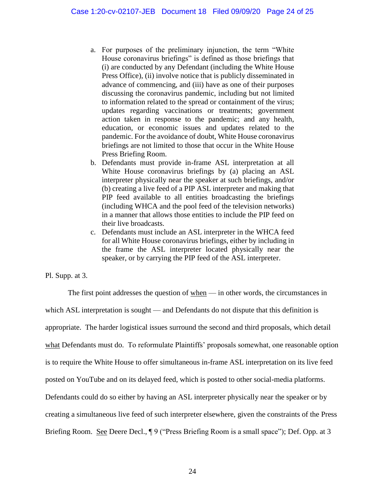- a. For purposes of the preliminary injunction, the term "White House coronavirus briefings" is defined as those briefings that (i) are conducted by any Defendant (including the White House Press Office), (ii) involve notice that is publicly disseminated in advance of commencing, and (iii) have as one of their purposes discussing the coronavirus pandemic, including but not limited to information related to the spread or containment of the virus; updates regarding vaccinations or treatments; government action taken in response to the pandemic; and any health, education, or economic issues and updates related to the pandemic. For the avoidance of doubt, White House coronavirus briefings are not limited to those that occur in the White House Press Briefing Room.
- b. Defendants must provide in-frame ASL interpretation at all White House coronavirus briefings by (a) placing an ASL interpreter physically near the speaker at such briefings, and/or (b) creating a live feed of a PIP ASL interpreter and making that PIP feed available to all entities broadcasting the briefings (including WHCA and the pool feed of the television networks) in a manner that allows those entities to include the PIP feed on their live broadcasts.
- c. Defendants must include an ASL interpreter in the WHCA feed for all White House coronavirus briefings, either by including in the frame the ASL interpreter located physically near the speaker, or by carrying the PIP feed of the ASL interpreter.

# Pl. Supp. at 3.

The first point addresses the question of when — in other words, the circumstances in which ASL interpretation is sought — and Defendants do not dispute that this definition is appropriate. The harder logistical issues surround the second and third proposals, which detail what Defendants must do. To reformulate Plaintiffs' proposals somewhat, one reasonable option is to require the White House to offer simultaneous in-frame ASL interpretation on its live feed posted on YouTube and on its delayed feed, which is posted to other social-media platforms. Defendants could do so either by having an ASL interpreter physically near the speaker or by creating a simultaneous live feed of such interpreter elsewhere, given the constraints of the Press Briefing Room. See Deere Decl.,  $\parallel$  9 ("Press Briefing Room is a small space"); Def. Opp. at 3